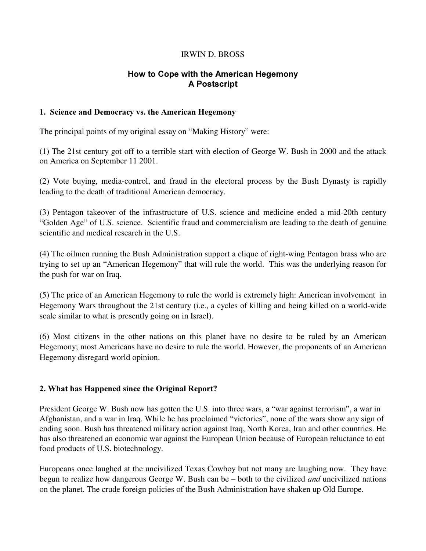#### IRWIN D. BROSS

# How to Cope with the American Hegemony A Postscript

#### 1. Science and Democracy vs. the American Hegemony

The principal points of my original essay on "Making History" were:

(1) The 21st century got off to a terrible start with election of George W. Bush in 2000 and the attack on America on September 11 2001.

(2) Vote buying, media-control, and fraud in the electoral process by the Bush Dynasty is rapidly leading to the death of traditional American democracy.

(3) Pentagon takeover of the infrastructure of U.S. science and medicine ended a mid-20th century "Golden Age" of U.S. science. Scientific fraud and commercialism are leading to the death of genuine scientific and medical research in the U.S.

(4) The oilmen running the Bush Administration support a clique of right-wing Pentagon brass who are trying to set up an "American Hegemony" that will rule the world. This was the underlying reason for the push for war on Iraq.

(5) The price of an American Hegemony to rule the world is extremely high: American involvement in Hegemony Wars throughout the 21st century (i.e., a cycles of killing and being killed on a world-wide scale similar to what is presently going on in Israel).

(6) Most citizens in the other nations on this planet have no desire to be ruled by an American Hegemony; most Americans have no desire to rule the world. However, the proponents of an American Hegemony disregard world opinion.

## 2. What has Happened since the Original Report?

President George W. Bush now has gotten the U.S. into three wars, a "war against terrorism", a war in Afghanistan, and a war in Iraq. While he has proclaimed "victories", none of the wars show any sign of ending soon. Bush has threatened military action against Iraq, North Korea, Iran and other countries. He has also threatened an economic war against the European Union because of European reluctance to eat food products of U.S. biotechnology.

Europeans once laughed at the uncivilized Texas Cowboy but not many are laughing now. They have begun to realize how dangerous George W. Bush can be  $-$  both to the civilized *and* uncivilized nations on the planet. The crude foreign policies of the Bush Administration have shaken up Old Europe.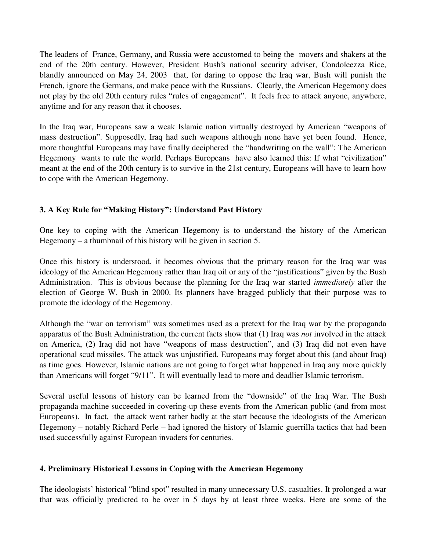The leaders of France, Germany, and Russia were accustomed to being the movers and shakers at the end of the 20th century. However, President Bush's national security adviser, Condoleezza Rice, blandly announced on May 24, 2003 that, for daring to oppose the Iraq war, Bush will punish the French, ignore the Germans, and make peace with the Russians. Clearly, the American Hegemony does not play by the old 20th century rules "rules of engagement". It feels free to attack anyone, anywhere, anytime and for any reason that it chooses.

In the Iraq war, Europeans saw a weak Islamic nation virtually destroyed by American " weapons of mass destruction". Supposedly, Iraq had such weapons although none have yet been found. Hence, more thoughtful Europeans may have finally deciphered the "handwriting on the wall": The American Hegemony wants to rule the world. Perhaps Europeans have also learned this: If what "civilization" meant at the end of the 20th century is to survive in the 21st century, Europeans will have to learn how to cope with the American Hegemony.

## 3. A Key Rule for "Making History": Understand Past History

One key to coping with the American Hegemony is to understand the history of the American Hegemony – a thumbnail of this history will be given in section 5.

Once this history is understood, it becomes obvious that the primary reason for the Iraq war was ideology of the American Hegemony rather than Iraq oil or any of the "justifications" given by the Bush Administration. This is obvious because the planning for the Iraq war started *immediately* after the election of George W. Bush in 2000. Its planners have bragged publicly that their purpose was to promote the ideology of the Hegemony.

Although the "war on terrorism" was sometimes used as a pretext for the Iraq war by the propaganda apparatus of the Bush Administration, the current facts show that (1) Iraq was *not* involved in the attack on America, (2) Iraq did not have " weapons of mass destruction", and (3) Iraq did not even have operational scud missiles. The attack was unjustified. Europeans may forget about this (and about Iraq) as time goes. However, Islamic nations are not going to forget what happened in Iraq any more quickly than Americans will forget "9/11". It will eventually lead to more and deadlier Islamic terrorism.

Several useful lessons of history can be learned from the " downside" of the Iraq War. The Bush propaganda machine succeeded in covering-up these events from the American public (and from most Europeans). In fact, the attack went rather badly at the start because the ideologists of the American Hegemony – notably Richard Perle – had ignored the history of Islamic guerrilla tactics that had been used successfully against European invaders for centuries.

## 4. Preliminary Historical Lessons in Coping with the American Hegemony

The ideologists' historical "blind spot" resulted in many unnecessary U.S. casualties. It prolonged a war that was officially predicted to be over in 5 days by at least three weeks. Here are some of the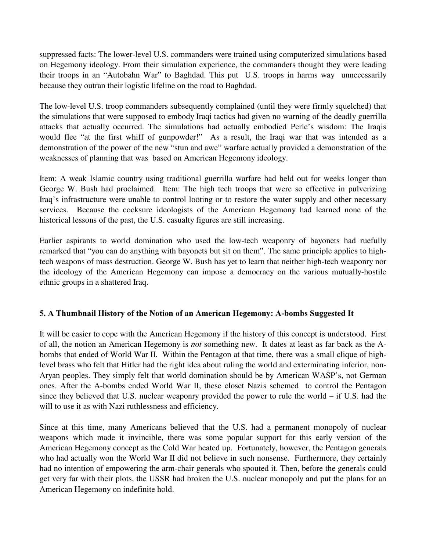suppressed facts: The lower-level U.S. commanders were trained using computerized simulations based on Hegemony ideology. From their simulation experience, the commanders thought they were leading their troops in an " Autobahn War" to Baghdad. This put U.S. troops in harms way unnecessarily because they outran their logistic lifeline on the road to Baghdad.

The low-level U.S. troop commanders subsequently complained (until they were firmly squelched) that the simulations that were supposed to embody Iraqi tactics had given no warning of the deadly guerrilla attacks that actually occurred. The simulations had actually embodied Perle's wisdom: The Iraqis would flee "at the first whiff of gunpowder!" As a result, the Iraqi war that was intended as a demonstration of the power of the new "stun and awe" warfare actually provided a demonstration of the weaknesses of planning that was based on American Hegemony ideology.

Item: A weak Islamic country using traditional guerrilla warfare had held out for weeks longer than George W. Bush had proclaimed. Item: The high tech troops that were so effective in pulverizing Iraq's infrastructure were unable to control looting or to restore the water supply and other necessary services. Because the cocksure ideologists of the American Hegemony had learned none of the historical lessons of the past, the U.S. casualty figures are still increasing.

Earlier aspirants to world domination who used the low-tech weaponry of bayonets had ruefully remarked that "you can do anything with bayonets but sit on them". The same principle applies to hightech weapons of mass destruction. George W. Bush has yet to learn that neither high-tech weaponry nor the ideology of the American Hegemony can impose a democracy on the various mutually-hostile ethnic groups in a shattered Iraq.

## 5. A Thumbnail History of the Notion of an American Hegemony: A-bombs Suggested It

It will be easier to cope with the American Hegemony if the history of this concept is understood. First of all, the notion an American Hegemony is *not* something new. It dates at least as far back as the Abombs that ended of World War II. Within the Pentagon at that time, there was a small clique of highlevel brass who felt that Hitler had the right idea about ruling the world and exterminating inferior, non-Aryan peoples. They simply felt that world domination should be by American WASP's, not German ones. After the A-bombs ended World War II, these closet Nazis schemed to control the Pentagon since they believed that U.S. nuclear weaponry provided the power to rule the world – if U.S. had the will to use it as with Nazi ruthlessness and efficiency.

Since at this time, many Americans believed that the U.S. had a permanent monopoly of nuclear weapons which made it invincible, there was some popular support for this early version of the American Hegemony concept as the Cold War heated up. Fortunately, however, the Pentagon generals who had actually won the World War II did not believe in such nonsense. Furthermore, they certainly had no intention of empowering the arm-chair generals who spouted it. Then, before the generals could get very far with their plots, the USSR had broken the U.S. nuclear monopoly and put the plans for an American Hegemony on indefinite hold.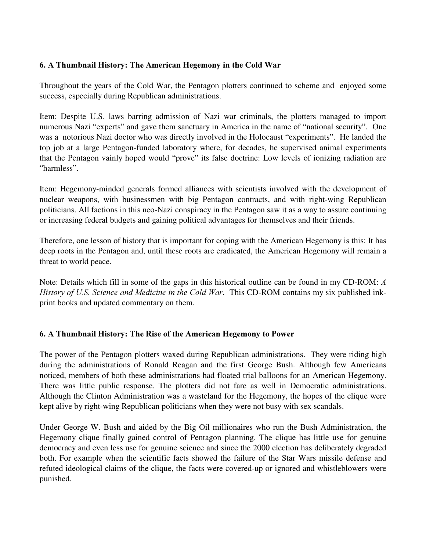# 6. A Thumbnail History: The American Hegemony in the Cold War

Throughout the years of the Cold War, the Pentagon plotters continued to scheme and enjoyed some success, especially during Republican administrations.

Item: Despite U.S. laws barring admission of Nazi war criminals, the plotters managed to import numerous Nazi "experts" and gave them sanctuary in America in the name of "national security". One was a notorious Nazi doctor who was directly involved in the Holocaust "experiments". He landed the top job at a large Pentagon-funded laboratory where, for decades, he supervised animal experiments that the Pentagon vainly hoped would "prove" its false doctrine: Low levels of ionizing radiation are "harmless".

Item: Hegemony-minded generals formed alliances with scientists involved with the development of nuclear weapons, with businessmen with big Pentagon contracts, and with right-wing Republican politicians. All factions in this neo-Nazi conspiracy in the Pentagon saw it as a way to assure continuing or increasing federal budgets and gaining political advantages for themselves and their friends.

Therefore, one lesson of history that is important for coping with the American Hegemony is this: It has deep roots in the Pentagon and, until these roots are eradicated, the American Hegemony will remain a threat to world peace.

Note: Details which fill in some of the gaps in this historical outline can be found in my CD-ROM:  $\Lambda$ History of U.S. Science and Medicine in the Cold War. This CD-ROM contains my six published inkprint books and updated commentary on them.

## 6. A Thumbnail History: The Rise of the American Hegemony to Power

The power of the Pentagon plotters waxed during Republican administrations. They were riding high during the administrations of Ronald Reagan and the first George Bush. Although few Americans noticed, members of both these administrations had floated trial balloons for an American Hegemony. There was little public response. The plotters did not fare as well in Democratic administrations. Although the Clinton Administration was a wasteland for the Hegemony, the hopes of the clique were kept alive by right-wing Republican politicians when they were not busy with sex scandals.

Under George W. Bush and aided by the Big Oil millionaires who run the Bush Administration, the Hegemony clique finally gained control of Pentagon planning. The clique has little use for genuine democracy and even less use for genuine science and since the 2000 election has deliberately degraded both. For example when the scientific facts showed the failure of the Star Wars missile defense and refuted ideological claims of the clique, the facts were covered-up or ignored and whistleblowers were punished.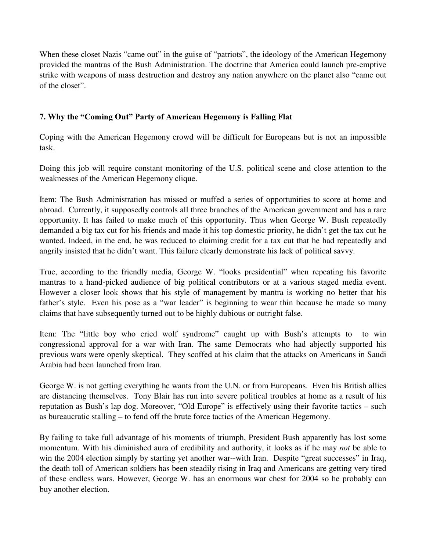When these closet Nazis "came out" in the guise of "patriots", the ideology of the American Hegemony provided the mantras of the Bush Administration. The doctrine that America could launch pre-emptive strike with weapons of mass destruction and destroy any nation anywhere on the planet also "came out of the closet".

# 7. Why the "Coming Out" Party of American Hegemony is Falling Flat

Coping with the American Hegemony crowd will be difficult for Europeans but is not an impossible task.

Doing this job will require constant monitoring of the U.S. political scene and close attention to the weaknesses of the American Hegemony clique.

Item: The Bush Administration has missed or muffed a series of opportunities to score at home and abroad. Currently, it supposedly controls all three branches of the American government and has a rare opportunity. It has failed to make much of this opportunity. Thus when George W. Bush repeatedly demanded a big tax cut for his friends and made it his top domestic priority, he didn't get the tax cut he wanted. Indeed, in the end, he was reduced to claiming credit for a tax cut that he had repeatedly and angrily insisted that he didn't want. This failure clearly demonstrate his lack of political savvy.

True, according to the friendly media, George W. "looks presidential" when repeating his favorite mantras to a hand-picked audience of big political contributors or at a various staged media event. However a closer look shows that his style of management by mantra is working no better that his father's style. Even his pose as a "war leader" is beginning to wear thin because he made so many claims that have subsequently turned out to be highly dubious or outright false.

Item: The "little boy who cried wolf syndrome" caught up with Bush's attempts to to win congressional approval for a war with Iran. The same Democrats who had abjectly supported his previous wars were openly skeptical. They scoffed at his claim that the attacks on Americans in Saudi Arabia had been launched from Iran.

George W. is not getting everything he wants from the U.N. or from Europeans. Even his British allies are distancing themselves. Tony Blair has run into severe political troubles at home as a result of his reputation as Bush's lap dog. Moreover, " Old Europe" is effectively using their favorite tactics – such as bureaucratic stalling – to fend off the brute force tactics of the American Hegemony.

By failing to take full advantage of his moments of triumph, President Bush apparently has lost some momentum. With his diminished aura of credibility and authority, it looks as if he may *not* be able to win the 2004 election simply by starting yet another war--with Iran. Despite "great successes" in Iraq, the death toll of American soldiers has been steadily rising in Iraq and Americans are getting very tired of these endless wars. However, George W. has an enormous war chest for 2004 so he probably can buy another election.